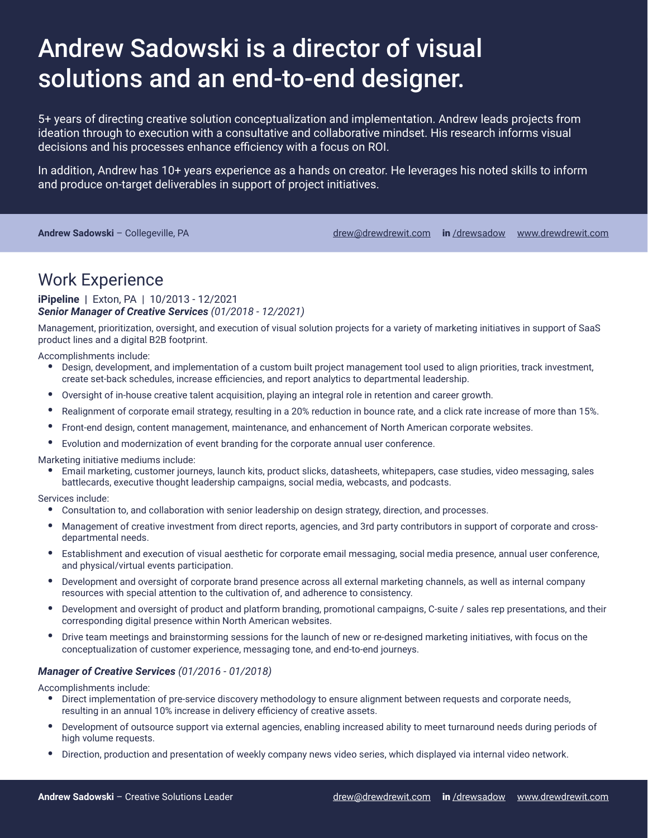# Andrew Sadowski is a director of visual solutions and an end-to-end designer.

5+ years of directing creative solution conceptualization and implementation. Andrew leads projects from ideation through to execution with a consultative and collaborative mindset. His research informs visual decisions and his processes enhance efficiency with a focus on ROI.

In addition, Andrew has 10+ years experience as a hands on creator. He leverages his noted skills to inform and produce on-target deliverables in support of project initiatives.

Andrew Sadowski - Collegeville, PA drew and the drew and the [drew@drewdrewit.com](mailto://drew@drewdrewit.com) in [/drewsadow](https://www.linkedin.com/in/drewsadow/) [www.drewdrewit.com](http://www.drewdrewit.com/)

### Work Experience

#### **iPipeline |** Exton, PA | 10/2013 - 12/2021 *Senior Manager of Creative Services (01/2018 - 12/2021)*

Management, prioritization, oversight, and execution of visual solution projects for a variety of marketing initiatives in support of SaaS product lines and a digital B2B footprint.

Accomplishments include:

- Design, development, and implementation of a custom built project management tool used to align priorities, track investment, create set-back schedules, increase efficiencies, and report analytics to departmental leadership.
- Oversight of in-house creative talent acquisition, playing an integral role in retention and career growth.
- Realignment of corporate email strategy, resulting in a 20% reduction in bounce rate, and a click rate increase of more than 15%.
- Front-end design, content management, maintenance, and enhancement of North American corporate websites.
- Evolution and modernization of event branding for the corporate annual user conference.

Marketing initiative mediums include:

• Email marketing, customer journeys, launch kits, product slicks, datasheets, whitepapers, case studies, video messaging, sales battlecards, executive thought leadership campaigns, social media, webcasts, and podcasts.

Services include:

- Consultation to, and collaboration with senior leadership on design strategy, direction, and processes.
- Management of creative investment from direct reports, agencies, and 3rd party contributors in support of corporate and crossdepartmental needs.
- Establishment and execution of visual aesthetic for corporate email messaging, social media presence, annual user conference, and physical/virtual events participation.
- Development and oversight of corporate brand presence across all external marketing channels, as well as internal company resources with special attention to the cultivation of, and adherence to consistency.
- Development and oversight of product and platform branding, promotional campaigns, C-suite / sales rep presentations, and their corresponding digital presence within North American websites.
- Drive team meetings and brainstorming sessions for the launch of new or re-designed marketing initiatives, with focus on the conceptualization of customer experience, messaging tone, and end-to-end journeys.

#### *Manager of Creative Services (01/2016 - 01/2018)*

Accomplishments include:

- Direct implementation of pre-service discovery methodology to ensure alignment between requests and corporate needs, resulting in an annual 10% increase in delivery efficiency of creative assets.
- Development of outsource support via external agencies, enabling increased ability to meet turnaround needs during periods of high volume requests.
- Direction, production and presentation of weekly company news video series, which displayed via internal video network.